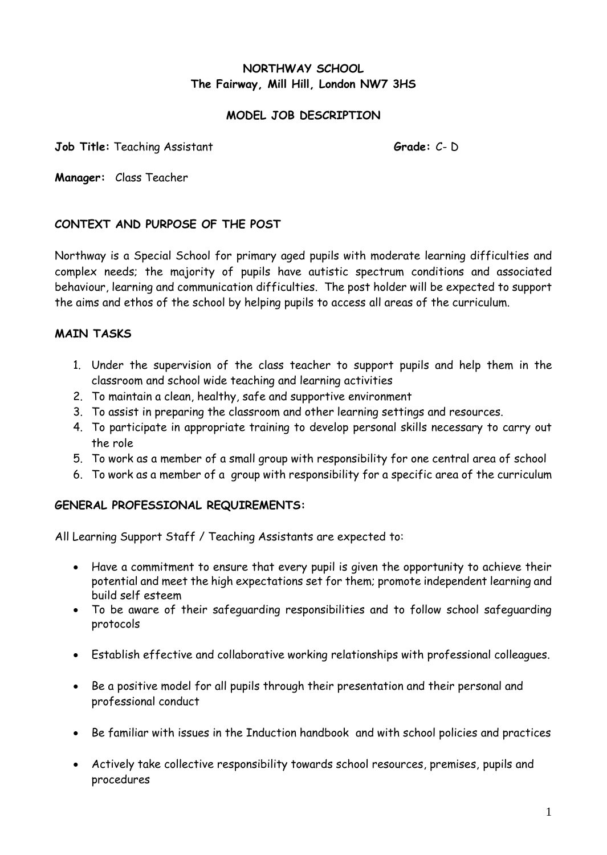# **NORTHWAY SCHOOL The Fairway, Mill Hill, London NW7 3HS**

### **MODEL JOB DESCRIPTION**

**Job Title:** Teaching Assistant **Grade:** C- D

**Manager:** Class Teacher

## **CONTEXT AND PURPOSE OF THE POST**

Northway is a Special School for primary aged pupils with moderate learning difficulties and complex needs; the majority of pupils have autistic spectrum conditions and associated behaviour, learning and communication difficulties. The post holder will be expected to support the aims and ethos of the school by helping pupils to access all areas of the curriculum.

### **MAIN TASKS**

- 1. Under the supervision of the class teacher to support pupils and help them in the classroom and school wide teaching and learning activities
- 2. To maintain a clean, healthy, safe and supportive environment
- 3. To assist in preparing the classroom and other learning settings and resources.
- 4. To participate in appropriate training to develop personal skills necessary to carry out the role
- 5. To work as a member of a small group with responsibility for one central area of school
- 6. To work as a member of a group with responsibility for a specific area of the curriculum

#### **GENERAL PROFESSIONAL REQUIREMENTS:**

All Learning Support Staff / Teaching Assistants are expected to:

- Have a commitment to ensure that every pupil is given the opportunity to achieve their potential and meet the high expectations set for them; promote independent learning and build self esteem
- To be aware of their safeguarding responsibilities and to follow school safeguarding protocols
- Establish effective and collaborative working relationships with professional colleagues.
- Be a positive model for all pupils through their presentation and their personal and professional conduct
- Be familiar with issues in the Induction handbook and with school policies and practices
- Actively take collective responsibility towards school resources, premises, pupils and procedures